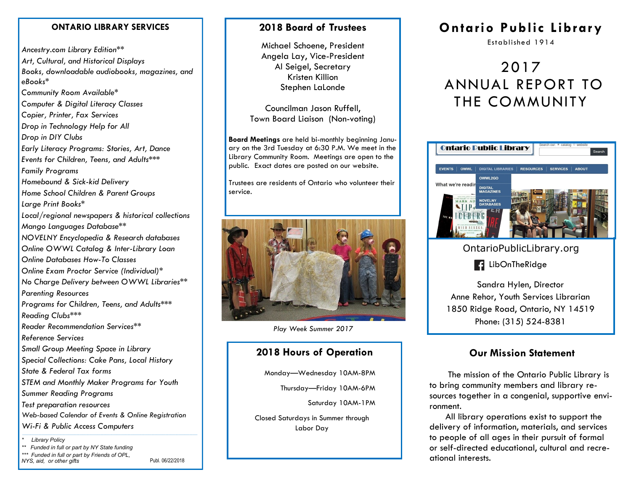#### **ONTARIO LIBRARY SERVICES**

*Ancestry.com Library Edition\*\* Art, Cultural, and Historical Displays Books, downloadable audiobooks, magazines, and eBooks\* Community Room Available\* Computer & Digital Literacy Classes Copier, Printer, Fax Services Drop in Technology Help for All Drop in DIY Clubs Early Literacy Programs: Stories, Art, Dance Events for Children, Teens, and Adults\*\*\* Family Programs Homebound & Sick-kid Delivery Home School Children & Parent Groups Large Print Books\* Local/regional newspapers & historical collections Mango Languages Database\*\* NOVELNY Encyclopedia & Research databases Online OWWL Catalog & Inter-Library Loan Online Databases How-To Classes Online Exam Proctor Service (Individual)\* No Charge Delivery between OWWL Libraries\*\* Parenting Resources Programs for Children, Teens, and Adults\*\*\* Reading Clubs\*\*\* Reader Recommendation Services\*\* Reference Services Small Group Meeting Space in Library Special Collections: Cake Pans, Local History State & Federal Tax forms STEM and Monthly Maker Programs for Youth Summer Reading Programs Test preparation resources Web-based Calendar of Events & Online Registration Wi-Fi & Public Access Computers \* Library Policy* 

*\*\* Funded in full or part by NY State funding \*\*\* Funded in full or part by Friends of OPL,* 

*NYS, aid, or other gifts*

Publ. 06/22/2018

#### **2018 Board of Trustees**

Michael Schoene, President Angela Lay, Vice-President Al Seigel, Secretary Kristen Killion Stephen LaLonde

Councilman Jason Ruffell, Town Board Liaison (Non-voting)

**Board Meetings** are held bi-monthly beginning January on the 3rd Tuesday at 6:30 P.M. We meet in the Library Community Room. Meetings are open to the public. Exact dates are posted on our website.

Trustees are residents of Ontario who volunteer their service.



*Play Week Summer 2017*

#### **2018 Hours of Operation**

Monday—Wednesday 10AM-8PM

Thursday—Friday 10AM-6PM

Saturday 10AM-1PM

Closed Saturdays in Summer through Labor Day

# **Ontario Public Library**

Established 1914

# 2017 ANNUAL REPORT TO THE COMMUNITY



OntarioPublicLibrary.org

**R**: LibOnTheRidge

Sandra Hylen, Director Anne Rehor, Youth Services Librarian 1850 Ridge Road, Ontario, NY 14519 Phone: (315) 524-8381

#### **Our Mission Statement**

 The mission of the Ontario Public Library is to bring community members and library resources together in a congenial, supportive environment.

 All library operations exist to support the delivery of information, materials, and services to people of all ages in their pursuit of formal or self-directed educational, cultural and recreational interests.